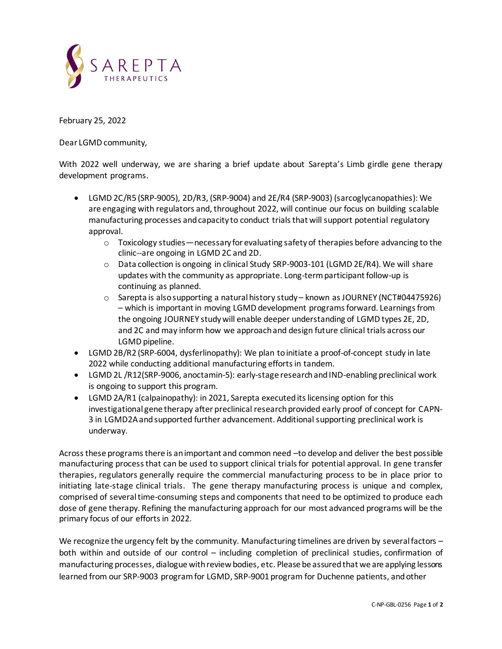

February 25, 2022

Dear LGMD community,

With 2022 well underway, we are sharing a brief update about Sarepta's Limb girdle gene therapy development programs.

- LGMD 2C/R5 (SRP-9005), 2D/R3, (SRP-9004) and 2E/R4 (SRP-9003) (sarcoglycanopathies): We are engaging with regulators and, throughout 2022, will continue our focus on building scalable manufacturing processes and capacity to conduct trials that will support potential regulatory approval.
	- $\circ$  Toxicology studies necessary for evaluating safety of therapies before advancing to the clinic--are ongoing in LGMD 2C and 2D.
	- o Data collection is ongoing in clinical Study SRP-9003-101 (LGMD 2E/R4). We will share updates with the community as appropriate. Long-term participant follow-up is continuing as planned.
	- o Sarepta is also supporting a natural history study known as JOURNEY (NCT#04475926) – which is important in moving LGMD development programs forward. Learnings from the ongoing JOURNEY study will enable deeper understanding of LGMD types 2E, 2D, and 2C and may inform how we approach and design future clinical trials across our LGMD pipeline.
- LGMD 2B/R2 (SRP-6004, dysferlinopathy): We plan to initiate a proof-of-concept study in late 2022 while conducting additional manufacturing efforts in tandem.
- LGMD 2L /R12(SRP-9006, anoctamin-5): early-stage research and IND-enabling preclinical work is ongoing to support this program.
- LGMD 2A/R1 (calpainopathy): in 2021, Sarepta executed its licensing option for this investigational gene therapy after preclinical research provided early proof of concept for CAPN-3 in LGMD2A and supported further advancement. Additional supporting preclinical work is underway.

Across these programs there is an important and common need –to develop and deliver the best possible manufacturing process that can be used to support clinical trials for potential approval. In gene transfer therapies, regulators generally require the commercial manufacturing process to be in place prior to initiating late-stage clinical trials. The gene therapy manufacturing process is unique and complex, comprised of several time-consuming steps and components that need to be optimized to produce each dose of gene therapy. Refining the manufacturing approach for our most advanced programs will be the primary focus of our efforts in 2022.

We recognize the urgency felt by the community. Manufacturing timelines are driven by several factors both within and outside of our control – including completion of preclinical studies, confirmation of manufacturing processes, dialogue with review bodies, etc. Please be assured that we are applying lessons learned from our SRP-9003 program for LGMD, SRP-9001 program for Duchenne patients, and other